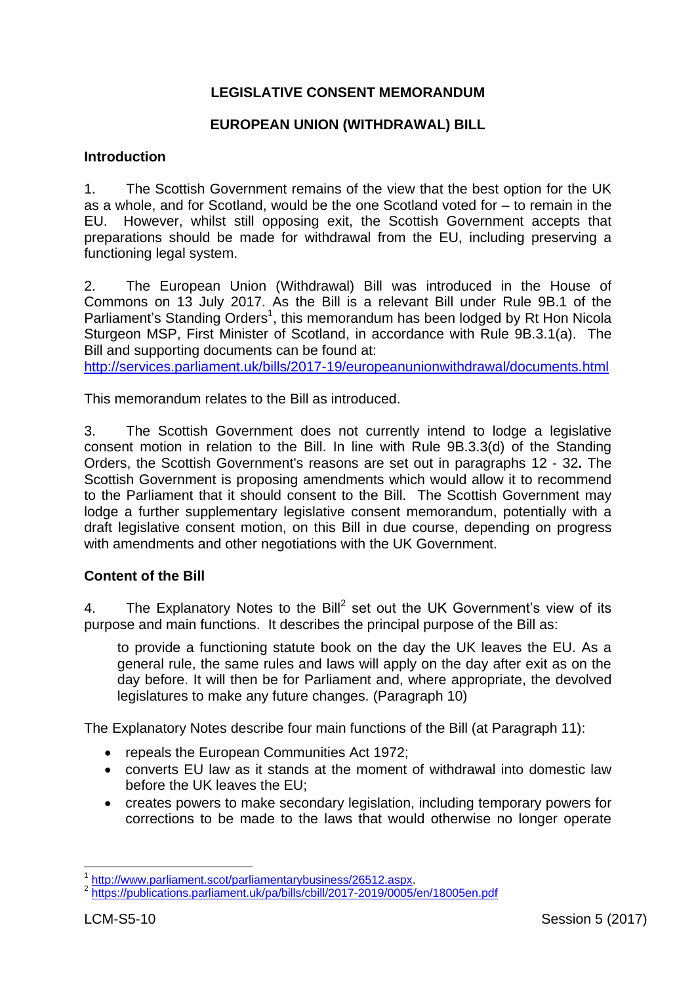## **LEGISLATIVE CONSENT MEMORANDUM**

#### **EUROPEAN UNION (WITHDRAWAL) BILL**

#### **Introduction**

1. The Scottish Government remains of the view that the best option for the UK as a whole, and for Scotland, would be the one Scotland voted for – to remain in the EU. However, whilst still opposing exit, the Scottish Government accepts that preparations should be made for withdrawal from the EU, including preserving a functioning legal system.

2. The European Union (Withdrawal) Bill was introduced in the House of Commons on 13 July 2017. As the Bill is a relevant Bill under Rule 9B.1 of the Parliament's Standing Orders<sup>1</sup>, this memorandum has been lodged by Rt Hon Nicola Sturgeon MSP, First Minister of Scotland, in accordance with Rule 9B.3.1(a). The Bill and supporting documents can be found at:

<http://services.parliament.uk/bills/2017-19/europeanunionwithdrawal/documents.html>

This memorandum relates to the Bill as introduced.

3. The Scottish Government does not currently intend to lodge a legislative consent motion in relation to the Bill. In line with Rule 9B.3.3(d) of the Standing Orders, the Scottish Government's reasons are set out in paragraphs 12 - 32**.** The Scottish Government is proposing amendments which would allow it to recommend to the Parliament that it should consent to the Bill. The Scottish Government may lodge a further supplementary legislative consent memorandum, potentially with a draft legislative consent motion, on this Bill in due course, depending on progress with amendments and other negotiations with the UK Government.

#### **Content of the Bill**

4. The Explanatory Notes to the Bill<sup>2</sup> set out the UK Government's view of its purpose and main functions. It describes the principal purpose of the Bill as:

to provide a functioning statute book on the day the UK leaves the EU. As a general rule, the same rules and laws will apply on the day after exit as on the day before. It will then be for Parliament and, where appropriate, the devolved legislatures to make any future changes. (Paragraph 10)

The Explanatory Notes describe four main functions of the Bill (at Paragraph 11):

- repeals the European Communities Act 1972;
- converts EU law as it stands at the moment of withdrawal into domestic law before the UK leaves the EU;
- creates powers to make secondary legislation, including temporary powers for corrections to be made to the laws that would otherwise no longer operate

 $\overline{a}$ 1 [http://www.parliament.scot/parliamentarybusiness/26512.aspx.](http://www.parliament.scot/parliamentarybusiness/26512.aspx)

<sup>&</sup>lt;sup>2</sup> <https://publications.parliament.uk/pa/bills/cbill/2017-2019/0005/en/18005en.pdf>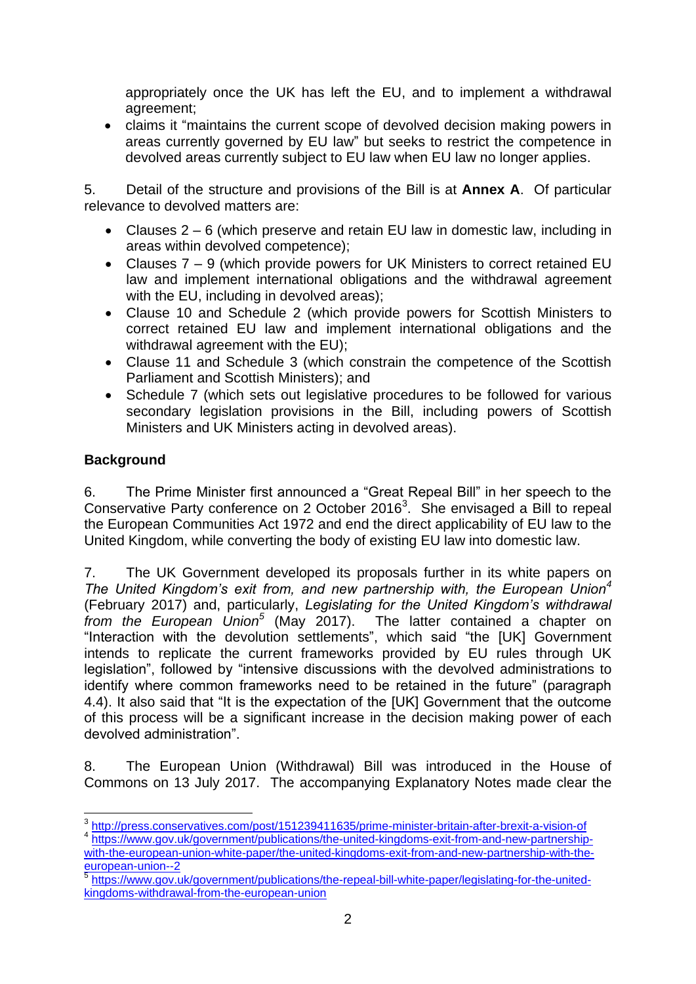appropriately once the UK has left the EU, and to implement a withdrawal agreement;

 claims it "maintains the current scope of devolved decision making powers in areas currently governed by EU law" but seeks to restrict the competence in devolved areas currently subject to EU law when EU law no longer applies.

5. Detail of the structure and provisions of the Bill is at **Annex A**. Of particular relevance to devolved matters are:

- Clauses 2 6 (which preserve and retain EU law in domestic law, including in areas within devolved competence);
- Clauses 7 9 (which provide powers for UK Ministers to correct retained EU law and implement international obligations and the withdrawal agreement with the EU, including in devolved areas);
- Clause 10 and Schedule 2 (which provide powers for Scottish Ministers to correct retained EU law and implement international obligations and the withdrawal agreement with the EU);
- Clause 11 and Schedule 3 (which constrain the competence of the Scottish Parliament and Scottish Ministers); and
- Schedule 7 (which sets out legislative procedures to be followed for various secondary legislation provisions in the Bill, including powers of Scottish Ministers and UK Ministers acting in devolved areas).

# **Background**

6. The Prime Minister first announced a "Great Repeal Bill" in her speech to the Conservative Party conference on 2 October 2016<sup>3</sup>. She envisaged a Bill to repeal the European Communities Act 1972 and end the direct applicability of EU law to the United Kingdom, while converting the body of existing EU law into domestic law.

7. The UK Government developed its proposals further in its white papers on *The United Kingdom's exit from, and new partnership with, the European Union<sup>4</sup>* (February 2017) and, particularly, *Legislating for the United Kingdom's withdrawal from the European Union<sup>5</sup>* (May 2017). The latter contained a chapter on "Interaction with the devolution settlements", which said "the [UK] Government intends to replicate the current frameworks provided by EU rules through UK legislation", followed by "intensive discussions with the devolved administrations to identify where common frameworks need to be retained in the future" (paragraph 4.4). It also said that "It is the expectation of the [UK] Government that the outcome of this process will be a significant increase in the decision making power of each devolved administration".

8. The European Union (Withdrawal) Bill was introduced in the House of Commons on 13 July 2017. The accompanying Explanatory Notes made clear the

 3 <http://press.conservatives.com/post/151239411635/prime-minister-britain-after-brexit-a-vision-of>

<sup>&</sup>lt;sup>4</sup> [https://www.gov.uk/government/publications/the-united-kingdoms-exit-from-and-new-partnership](https://www.gov.uk/government/publications/the-united-kingdoms-exit-from-and-new-partnership-with-the-european-union-white-paper/the-united-kingdoms-exit-from-and-new-partnership-with-the-european-union--2)[with-the-european-union-white-paper/the-united-kingdoms-exit-from-and-new-partnership-with-the-](https://www.gov.uk/government/publications/the-united-kingdoms-exit-from-and-new-partnership-with-the-european-union-white-paper/the-united-kingdoms-exit-from-and-new-partnership-with-the-european-union--2)

[european-union--2](https://www.gov.uk/government/publications/the-united-kingdoms-exit-from-and-new-partnership-with-the-european-union-white-paper/the-united-kingdoms-exit-from-and-new-partnership-with-the-european-union--2)<br><sup>5</sup> [https://www.gov.uk/government/publications/the-repeal-bill-white-paper/legislating-for-the-united](https://www.gov.uk/government/publications/the-repeal-bill-white-paper/legislating-for-the-united-kingdoms-withdrawal-from-the-european-union)[kingdoms-withdrawal-from-the-european-union](https://www.gov.uk/government/publications/the-repeal-bill-white-paper/legislating-for-the-united-kingdoms-withdrawal-from-the-european-union)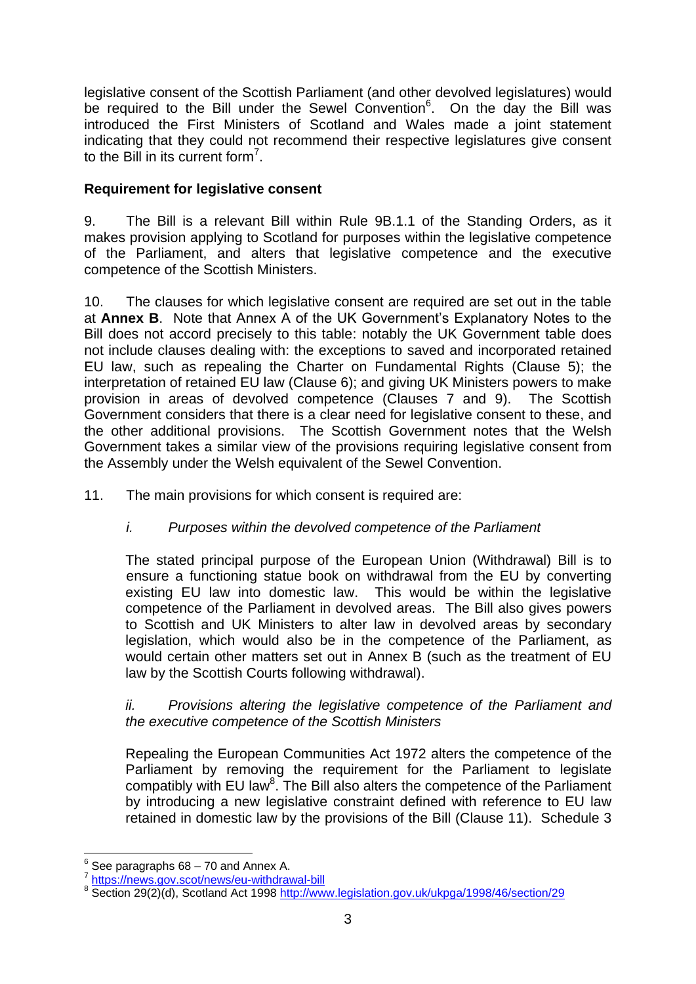legislative consent of the Scottish Parliament (and other devolved legislatures) would be required to the Bill under the Sewel Convention<sup>6</sup>. On the day the Bill was introduced the First Ministers of Scotland and Wales made a joint statement indicating that they could not recommend their respective legislatures give consent to the Bill in its current form<sup>7</sup>.

## **Requirement for legislative consent**

9. The Bill is a relevant Bill within Rule 9B.1.1 of the Standing Orders, as it makes provision applying to Scotland for purposes within the legislative competence of the Parliament, and alters that legislative competence and the executive competence of the Scottish Ministers.

10. The clauses for which legislative consent are required are set out in the table at **Annex B**. Note that Annex A of the UK Government"s Explanatory Notes to the Bill does not accord precisely to this table: notably the UK Government table does not include clauses dealing with: the exceptions to saved and incorporated retained EU law, such as repealing the Charter on Fundamental Rights (Clause 5); the interpretation of retained EU law (Clause 6); and giving UK Ministers powers to make provision in areas of devolved competence (Clauses 7 and 9). The Scottish Government considers that there is a clear need for legislative consent to these, and the other additional provisions. The Scottish Government notes that the Welsh Government takes a similar view of the provisions requiring legislative consent from the Assembly under the Welsh equivalent of the Sewel Convention.

11. The main provisions for which consent is required are:

# *i. Purposes within the devolved competence of the Parliament*

The stated principal purpose of the European Union (Withdrawal) Bill is to ensure a functioning statue book on withdrawal from the EU by converting existing EU law into domestic law. This would be within the legislative competence of the Parliament in devolved areas. The Bill also gives powers to Scottish and UK Ministers to alter law in devolved areas by secondary legislation, which would also be in the competence of the Parliament, as would certain other matters set out in Annex B (such as the treatment of EU law by the Scottish Courts following withdrawal).

## *ii. Provisions altering the legislative competence of the Parliament and the executive competence of the Scottish Ministers*

Repealing the European Communities Act 1972 alters the competence of the Parliament by removing the requirement for the Parliament to legislate compatibly with EU law<sup>8</sup>. The Bill also alters the competence of the Parliament by introducing a new legislative constraint defined with reference to EU law retained in domestic law by the provisions of the Bill (Clause 11). Schedule 3

 $\overline{\phantom{a}}$  $6$  See paragraphs 68 – 70 and Annex A.

<sup>7</sup> <https://news.gov.scot/news/eu-withdrawal-bill>

<sup>8</sup> Section 29(2)(d), Scotland Act 1998<http://www.legislation.gov.uk/ukpga/1998/46/section/29>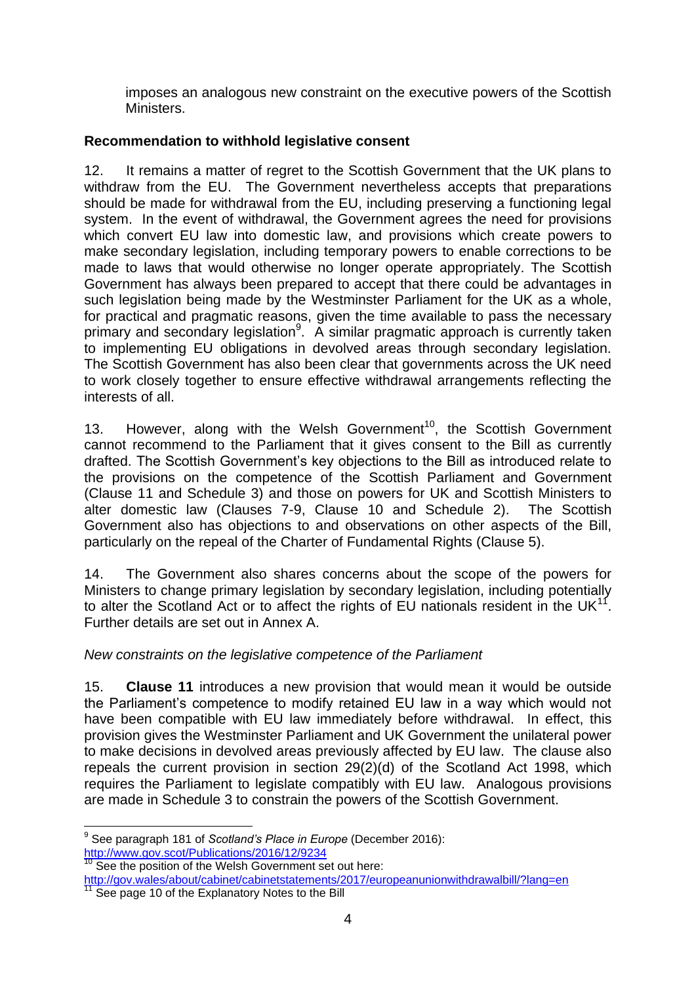imposes an analogous new constraint on the executive powers of the Scottish Ministers.

## **Recommendation to withhold legislative consent**

12. It remains a matter of regret to the Scottish Government that the UK plans to withdraw from the EU. The Government nevertheless accepts that preparations should be made for withdrawal from the EU, including preserving a functioning legal system. In the event of withdrawal, the Government agrees the need for provisions which convert EU law into domestic law, and provisions which create powers to make secondary legislation, including temporary powers to enable corrections to be made to laws that would otherwise no longer operate appropriately. The Scottish Government has always been prepared to accept that there could be advantages in such legislation being made by the Westminster Parliament for the UK as a whole, for practical and pragmatic reasons, given the time available to pass the necessary primary and secondary legislation<sup>9</sup>. A similar pragmatic approach is currently taken to implementing EU obligations in devolved areas through secondary legislation. The Scottish Government has also been clear that governments across the UK need to work closely together to ensure effective withdrawal arrangements reflecting the interests of all.

13. However, along with the Welsh Government<sup>10</sup>, the Scottish Government cannot recommend to the Parliament that it gives consent to the Bill as currently drafted. The Scottish Government"s key objections to the Bill as introduced relate to the provisions on the competence of the Scottish Parliament and Government (Clause 11 and Schedule 3) and those on powers for UK and Scottish Ministers to alter domestic law (Clauses 7-9, Clause 10 and Schedule 2). The Scottish Government also has objections to and observations on other aspects of the Bill, particularly on the repeal of the Charter of Fundamental Rights (Clause 5).

14. The Government also shares concerns about the scope of the powers for Ministers to change primary legislation by secondary legislation, including potentially to alter the Scotland Act or to affect the rights of EU nationals resident in the UK $^{11}$ . Further details are set out in Annex A.

## *New constraints on the legislative competence of the Parliament*

15. **Clause 11** introduces a new provision that would mean it would be outside the Parliament"s competence to modify retained EU law in a way which would not have been compatible with EU law immediately before withdrawal. In effect, this provision gives the Westminster Parliament and UK Government the unilateral power to make decisions in devolved areas previously affected by EU law. The clause also repeals the current provision in section 29(2)(d) of the Scotland Act 1998, which requires the Parliament to legislate compatibly with EU law. Analogous provisions are made in Schedule 3 to constrain the powers of the Scottish Government.

 $\overline{a}$ <sup>9</sup> See paragraph 181 of *Scotland's Place in Europe* (December 2016): <http://www.gov.scot/Publications/2016/12/9234>

 $10$  See the position of the Welsh Government set out here:

<http://gov.wales/about/cabinet/cabinetstatements/2017/europeanunionwithdrawalbill/?lang=en> See page 10 of the Explanatory Notes to the Bill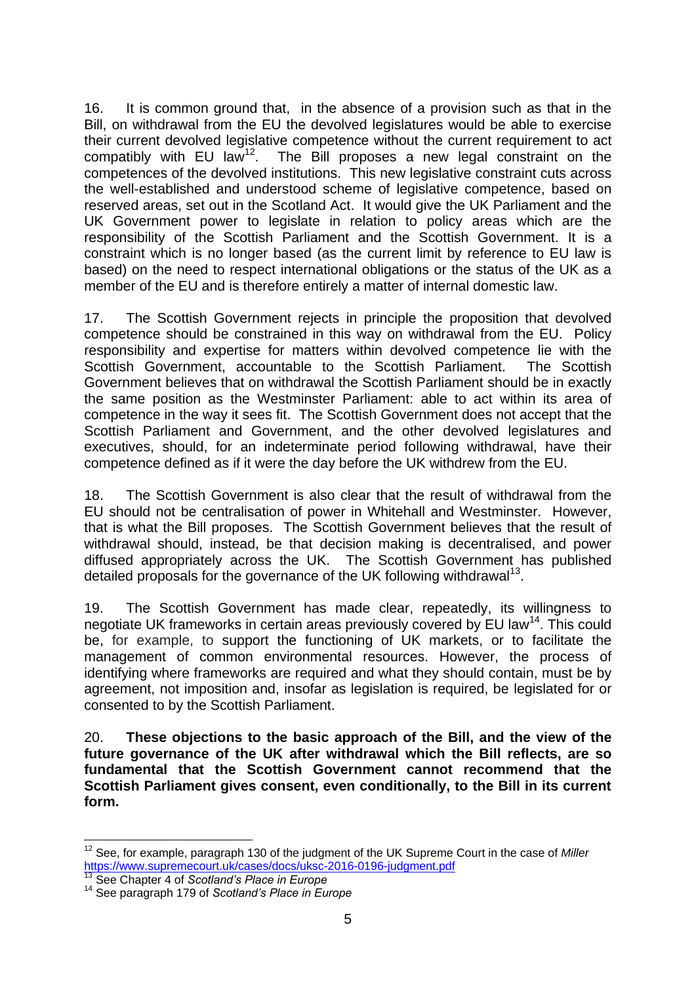16. It is common ground that, in the absence of a provision such as that in the Bill, on withdrawal from the EU the devolved legislatures would be able to exercise their current devolved legislative competence without the current requirement to act compatibly with EU law<sup>12</sup>. The Bill proposes a new legal constraint on the competences of the devolved institutions. This new legislative constraint cuts across the well-established and understood scheme of legislative competence, based on reserved areas, set out in the Scotland Act. It would give the UK Parliament and the UK Government power to legislate in relation to policy areas which are the responsibility of the Scottish Parliament and the Scottish Government. It is a constraint which is no longer based (as the current limit by reference to EU law is based) on the need to respect international obligations or the status of the UK as a member of the EU and is therefore entirely a matter of internal domestic law.

17. The Scottish Government rejects in principle the proposition that devolved competence should be constrained in this way on withdrawal from the EU. Policy responsibility and expertise for matters within devolved competence lie with the Scottish Government, accountable to the Scottish Parliament. The Scottish Government believes that on withdrawal the Scottish Parliament should be in exactly the same position as the Westminster Parliament: able to act within its area of competence in the way it sees fit. The Scottish Government does not accept that the Scottish Parliament and Government, and the other devolved legislatures and executives, should, for an indeterminate period following withdrawal, have their competence defined as if it were the day before the UK withdrew from the EU.

18. The Scottish Government is also clear that the result of withdrawal from the EU should not be centralisation of power in Whitehall and Westminster. However, that is what the Bill proposes. The Scottish Government believes that the result of withdrawal should, instead, be that decision making is decentralised, and power diffused appropriately across the UK. The Scottish Government has published detailed proposals for the governance of the UK following withdrawal<sup>13</sup>.

19. The Scottish Government has made clear, repeatedly, its willingness to negotiate UK frameworks in certain areas previously covered by EU law<sup>14</sup>. This could be, for example, to support the functioning of UK markets, or to facilitate the management of common environmental resources. However, the process of identifying where frameworks are required and what they should contain, must be by agreement, not imposition and, insofar as legislation is required, be legislated for or consented to by the Scottish Parliament.

20. **These objections to the basic approach of the Bill, and the view of the future governance of the UK after withdrawal which the Bill reflects, are so fundamental that the Scottish Government cannot recommend that the Scottish Parliament gives consent, even conditionally, to the Bill in its current form.**

**<sup>.</sup>** <sup>12</sup> See, for example, paragraph 130 of the judgment of the UK Supreme Court in the case of *Miller*  <https://www.supremecourt.uk/cases/docs/uksc-2016-0196-judgment.pdf>

<sup>13</sup> See Chapter 4 of *Scotland's Place in Europe*

<sup>14</sup> See paragraph 179 of *Scotland's Place in Europe*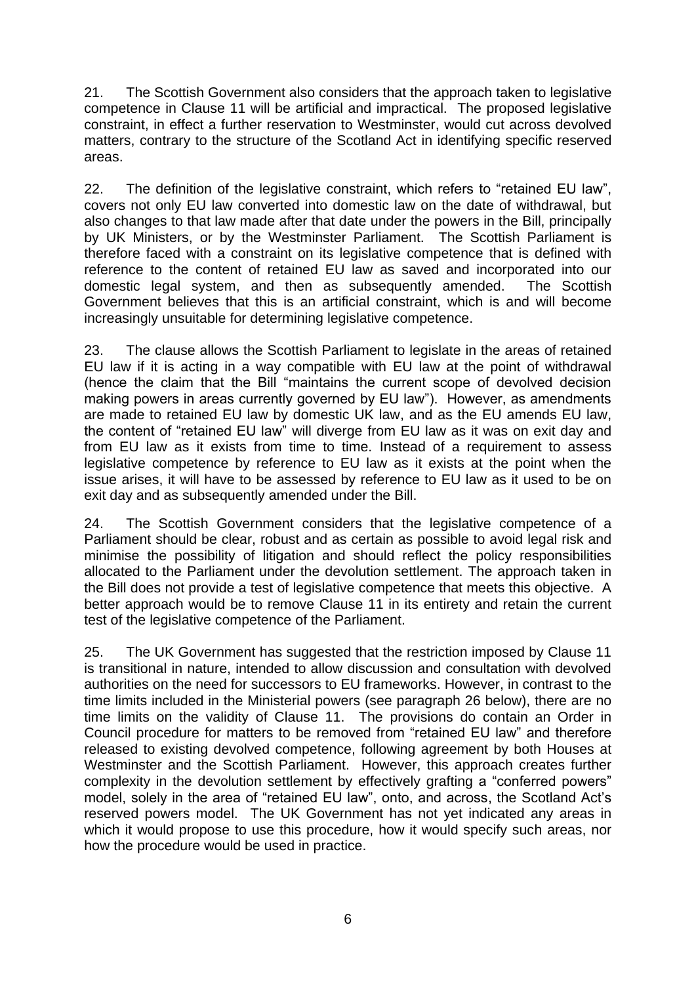21. The Scottish Government also considers that the approach taken to legislative competence in Clause 11 will be artificial and impractical. The proposed legislative constraint, in effect a further reservation to Westminster, would cut across devolved matters, contrary to the structure of the Scotland Act in identifying specific reserved areas.

22. The definition of the legislative constraint, which refers to "retained EU law", covers not only EU law converted into domestic law on the date of withdrawal, but also changes to that law made after that date under the powers in the Bill, principally by UK Ministers, or by the Westminster Parliament. The Scottish Parliament is therefore faced with a constraint on its legislative competence that is defined with reference to the content of retained EU law as saved and incorporated into our domestic legal system, and then as subsequently amended. The Scottish Government believes that this is an artificial constraint, which is and will become increasingly unsuitable for determining legislative competence.

23. The clause allows the Scottish Parliament to legislate in the areas of retained EU law if it is acting in a way compatible with EU law at the point of withdrawal (hence the claim that the Bill "maintains the current scope of devolved decision making powers in areas currently governed by EU law"). However, as amendments are made to retained EU law by domestic UK law, and as the EU amends EU law, the content of "retained EU law" will diverge from EU law as it was on exit day and from EU law as it exists from time to time. Instead of a requirement to assess legislative competence by reference to EU law as it exists at the point when the issue arises, it will have to be assessed by reference to EU law as it used to be on exit day and as subsequently amended under the Bill.

24. The Scottish Government considers that the legislative competence of a Parliament should be clear, robust and as certain as possible to avoid legal risk and minimise the possibility of litigation and should reflect the policy responsibilities allocated to the Parliament under the devolution settlement. The approach taken in the Bill does not provide a test of legislative competence that meets this objective. A better approach would be to remove Clause 11 in its entirety and retain the current test of the legislative competence of the Parliament.

25. The UK Government has suggested that the restriction imposed by Clause 11 is transitional in nature, intended to allow discussion and consultation with devolved authorities on the need for successors to EU frameworks. However, in contrast to the time limits included in the Ministerial powers (see paragraph 26 below), there are no time limits on the validity of Clause 11. The provisions do contain an Order in Council procedure for matters to be removed from "retained EU law" and therefore released to existing devolved competence, following agreement by both Houses at Westminster and the Scottish Parliament. However, this approach creates further complexity in the devolution settlement by effectively grafting a "conferred powers" model, solely in the area of "retained EU law", onto, and across, the Scotland Act"s reserved powers model. The UK Government has not yet indicated any areas in which it would propose to use this procedure, how it would specify such areas, nor how the procedure would be used in practice.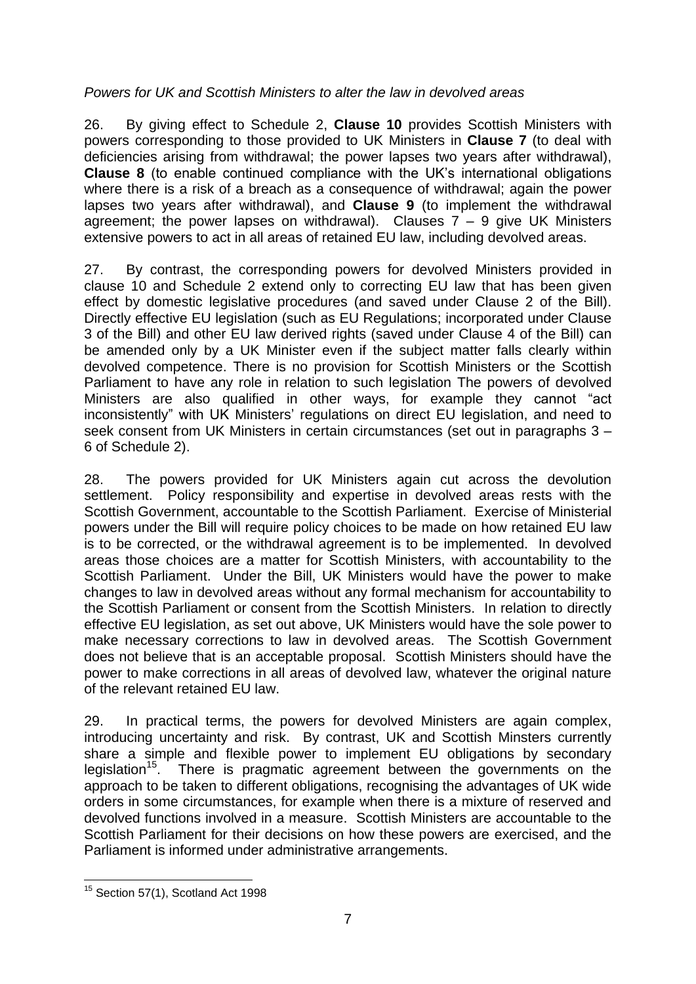## *Powers for UK and Scottish Ministers to alter the law in devolved areas*

26. By giving effect to Schedule 2, **Clause 10** provides Scottish Ministers with powers corresponding to those provided to UK Ministers in **Clause 7** (to deal with deficiencies arising from withdrawal; the power lapses two years after withdrawal), **Clause 8** (to enable continued compliance with the UK"s international obligations where there is a risk of a breach as a consequence of withdrawal; again the power lapses two years after withdrawal), and **Clause 9** (to implement the withdrawal agreement; the power lapses on withdrawal). Clauses  $7 - 9$  give UK Ministers extensive powers to act in all areas of retained EU law, including devolved areas.

27. By contrast, the corresponding powers for devolved Ministers provided in clause 10 and Schedule 2 extend only to correcting EU law that has been given effect by domestic legislative procedures (and saved under Clause 2 of the Bill). Directly effective EU legislation (such as EU Regulations; incorporated under Clause 3 of the Bill) and other EU law derived rights (saved under Clause 4 of the Bill) can be amended only by a UK Minister even if the subject matter falls clearly within devolved competence. There is no provision for Scottish Ministers or the Scottish Parliament to have any role in relation to such legislation The powers of devolved Ministers are also qualified in other ways, for example they cannot "act inconsistently" with UK Ministers" regulations on direct EU legislation, and need to seek consent from UK Ministers in certain circumstances (set out in paragraphs 3 – 6 of Schedule 2).

28. The powers provided for UK Ministers again cut across the devolution settlement. Policy responsibility and expertise in devolved areas rests with the Scottish Government, accountable to the Scottish Parliament. Exercise of Ministerial powers under the Bill will require policy choices to be made on how retained EU law is to be corrected, or the withdrawal agreement is to be implemented. In devolved areas those choices are a matter for Scottish Ministers, with accountability to the Scottish Parliament. Under the Bill, UK Ministers would have the power to make changes to law in devolved areas without any formal mechanism for accountability to the Scottish Parliament or consent from the Scottish Ministers. In relation to directly effective EU legislation, as set out above, UK Ministers would have the sole power to make necessary corrections to law in devolved areas. The Scottish Government does not believe that is an acceptable proposal. Scottish Ministers should have the power to make corrections in all areas of devolved law, whatever the original nature of the relevant retained EU law.

29. In practical terms, the powers for devolved Ministers are again complex, introducing uncertainty and risk. By contrast, UK and Scottish Minsters currently share a simple and flexible power to implement EU obligations by secondary legislation<sup>15</sup>. There is pragmatic agreement between the governments on the approach to be taken to different obligations, recognising the advantages of UK wide orders in some circumstances, for example when there is a mixture of reserved and devolved functions involved in a measure. Scottish Ministers are accountable to the Scottish Parliament for their decisions on how these powers are exercised, and the Parliament is informed under administrative arrangements.

**<sup>.</sup>** <sup>15</sup> Section 57(1), Scotland Act 1998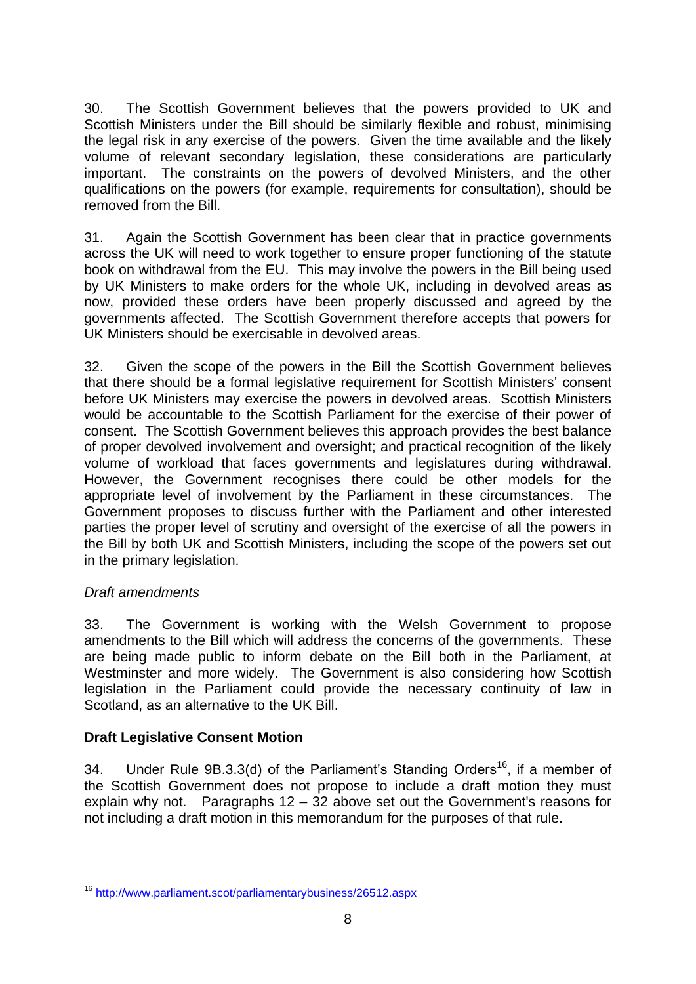30. The Scottish Government believes that the powers provided to UK and Scottish Ministers under the Bill should be similarly flexible and robust, minimising the legal risk in any exercise of the powers. Given the time available and the likely volume of relevant secondary legislation, these considerations are particularly important. The constraints on the powers of devolved Ministers, and the other qualifications on the powers (for example, requirements for consultation), should be removed from the Bill.

31. Again the Scottish Government has been clear that in practice governments across the UK will need to work together to ensure proper functioning of the statute book on withdrawal from the EU. This may involve the powers in the Bill being used by UK Ministers to make orders for the whole UK, including in devolved areas as now, provided these orders have been properly discussed and agreed by the governments affected. The Scottish Government therefore accepts that powers for UK Ministers should be exercisable in devolved areas.

32. Given the scope of the powers in the Bill the Scottish Government believes that there should be a formal legislative requirement for Scottish Ministers" consent before UK Ministers may exercise the powers in devolved areas. Scottish Ministers would be accountable to the Scottish Parliament for the exercise of their power of consent. The Scottish Government believes this approach provides the best balance of proper devolved involvement and oversight; and practical recognition of the likely volume of workload that faces governments and legislatures during withdrawal. However, the Government recognises there could be other models for the appropriate level of involvement by the Parliament in these circumstances. The Government proposes to discuss further with the Parliament and other interested parties the proper level of scrutiny and oversight of the exercise of all the powers in the Bill by both UK and Scottish Ministers, including the scope of the powers set out in the primary legislation.

## *Draft amendments*

33. The Government is working with the Welsh Government to propose amendments to the Bill which will address the concerns of the governments. These are being made public to inform debate on the Bill both in the Parliament, at Westminster and more widely. The Government is also considering how Scottish legislation in the Parliament could provide the necessary continuity of law in Scotland, as an alternative to the UK Bill.

## **Draft Legislative Consent Motion**

34. Under Rule  $9B.3.3(d)$  of the Parliament's Standing Orders<sup>16</sup>, if a member of the Scottish Government does not propose to include a draft motion they must explain why not. Paragraphs 12 – 32 above set out the Government's reasons for not including a draft motion in this memorandum for the purposes of that rule.

**<sup>.</sup>** <sup>16</sup> <http://www.parliament.scot/parliamentarybusiness/26512.aspx>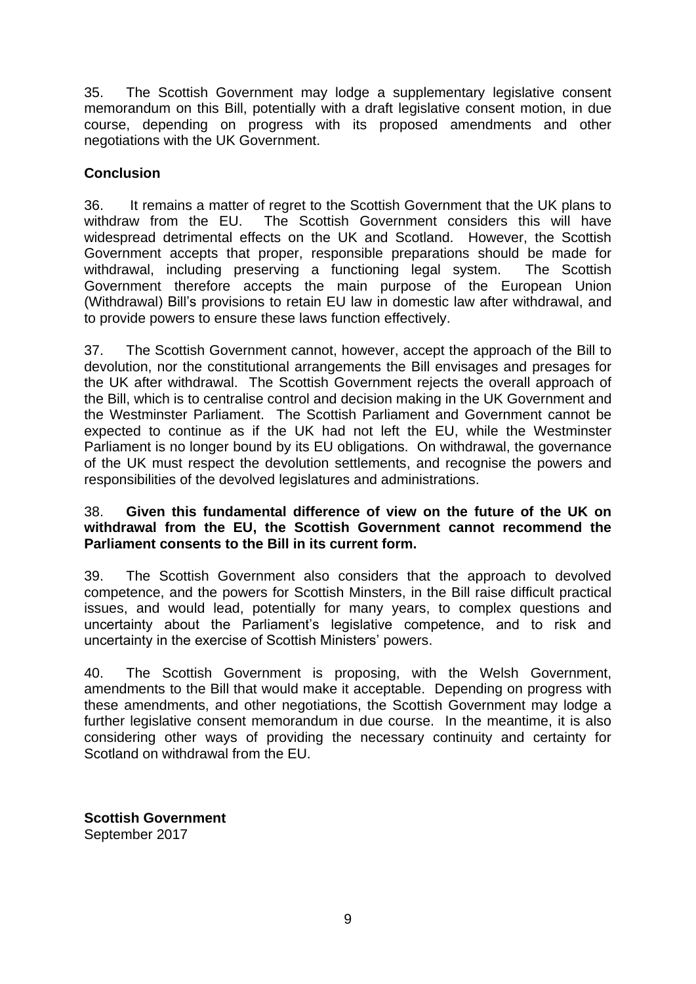35. The Scottish Government may lodge a supplementary legislative consent memorandum on this Bill, potentially with a draft legislative consent motion, in due course, depending on progress with its proposed amendments and other negotiations with the UK Government.

## **Conclusion**

36. It remains a matter of regret to the Scottish Government that the UK plans to withdraw from the EU. The Scottish Government considers this will have widespread detrimental effects on the UK and Scotland. However, the Scottish Government accepts that proper, responsible preparations should be made for withdrawal, including preserving a functioning legal system. The Scottish Government therefore accepts the main purpose of the European Union (Withdrawal) Bill"s provisions to retain EU law in domestic law after withdrawal, and to provide powers to ensure these laws function effectively.

37. The Scottish Government cannot, however, accept the approach of the Bill to devolution, nor the constitutional arrangements the Bill envisages and presages for the UK after withdrawal. The Scottish Government rejects the overall approach of the Bill, which is to centralise control and decision making in the UK Government and the Westminster Parliament. The Scottish Parliament and Government cannot be expected to continue as if the UK had not left the EU, while the Westminster Parliament is no longer bound by its EU obligations. On withdrawal, the governance of the UK must respect the devolution settlements, and recognise the powers and responsibilities of the devolved legislatures and administrations.

#### 38. **Given this fundamental difference of view on the future of the UK on withdrawal from the EU, the Scottish Government cannot recommend the Parliament consents to the Bill in its current form.**

39. The Scottish Government also considers that the approach to devolved competence, and the powers for Scottish Minsters, in the Bill raise difficult practical issues, and would lead, potentially for many years, to complex questions and uncertainty about the Parliament"s legislative competence, and to risk and uncertainty in the exercise of Scottish Ministers" powers.

40. The Scottish Government is proposing, with the Welsh Government, amendments to the Bill that would make it acceptable. Depending on progress with these amendments, and other negotiations, the Scottish Government may lodge a further legislative consent memorandum in due course. In the meantime, it is also considering other ways of providing the necessary continuity and certainty for Scotland on withdrawal from the EU.

**Scottish Government**  September 2017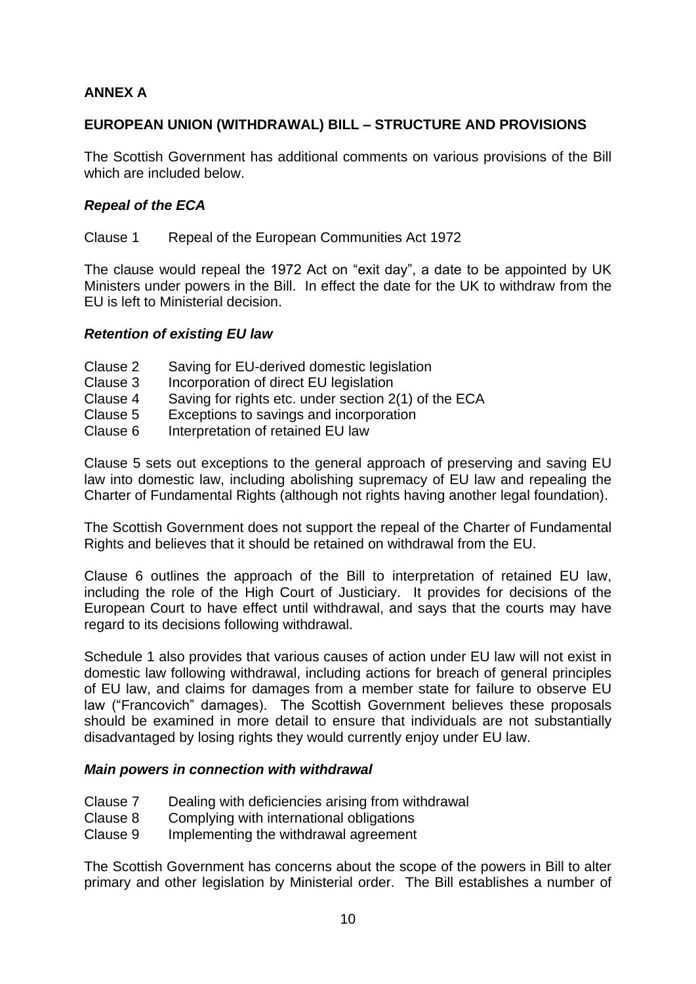## **ANNEX A**

## **EUROPEAN UNION (WITHDRAWAL) BILL – STRUCTURE AND PROVISIONS**

The Scottish Government has additional comments on various provisions of the Bill which are included below.

## *Repeal of the ECA*

Clause 1 Repeal of the European Communities Act 1972

The clause would repeal the 1972 Act on "exit day", a date to be appointed by UK Ministers under powers in the Bill. In effect the date for the UK to withdraw from the EU is left to Ministerial decision.

#### *Retention of existing EU law*

- Clause 2 Saving for EU-derived domestic legislation
- Clause 3 Incorporation of direct EU legislation
- Clause 4 Saving for rights etc. under section 2(1) of the ECA
- Clause 5 Exceptions to savings and incorporation
- Clause 6 Interpretation of retained EU law

Clause 5 sets out exceptions to the general approach of preserving and saving EU law into domestic law, including abolishing supremacy of EU law and repealing the Charter of Fundamental Rights (although not rights having another legal foundation).

The Scottish Government does not support the repeal of the Charter of Fundamental Rights and believes that it should be retained on withdrawal from the EU.

Clause 6 outlines the approach of the Bill to interpretation of retained EU law, including the role of the High Court of Justiciary. It provides for decisions of the European Court to have effect until withdrawal, and says that the courts may have regard to its decisions following withdrawal.

Schedule 1 also provides that various causes of action under EU law will not exist in domestic law following withdrawal, including actions for breach of general principles of EU law, and claims for damages from a member state for failure to observe EU law ("Francovich" damages). The Scottish Government believes these proposals should be examined in more detail to ensure that individuals are not substantially disadvantaged by losing rights they would currently enjoy under EU law.

#### *Main powers in connection with withdrawal*

- Clause 7 Dealing with deficiencies arising from withdrawal
- Clause 8 Complying with international obligations
- Clause 9 Implementing the withdrawal agreement

The Scottish Government has concerns about the scope of the powers in Bill to alter primary and other legislation by Ministerial order. The Bill establishes a number of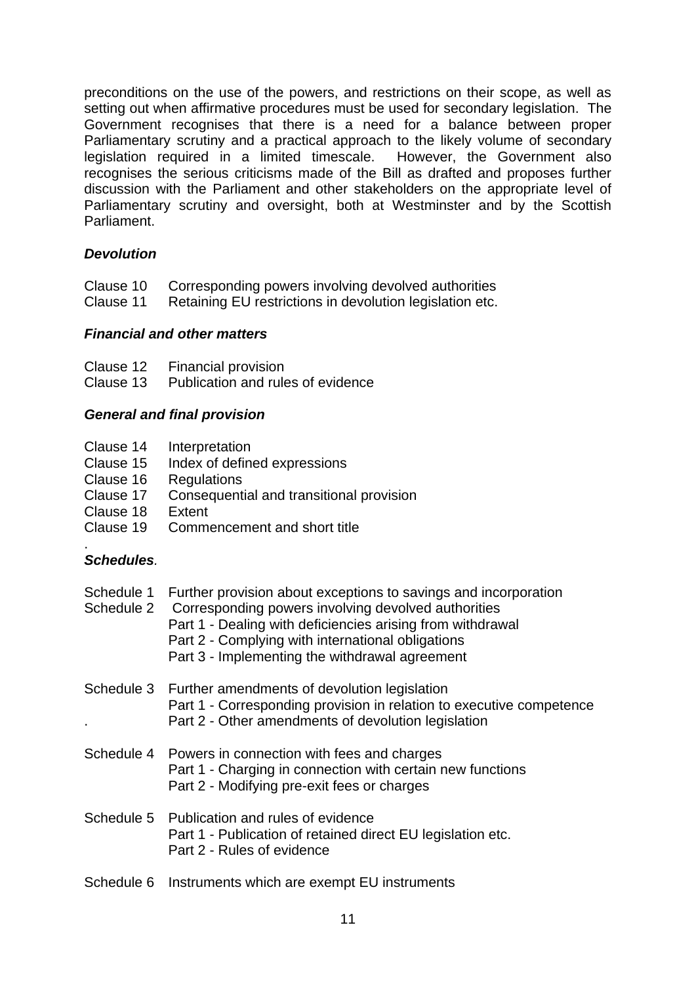preconditions on the use of the powers, and restrictions on their scope, as well as setting out when affirmative procedures must be used for secondary legislation. The Government recognises that there is a need for a balance between proper Parliamentary scrutiny and a practical approach to the likely volume of secondary legislation required in a limited timescale. However, the Government also recognises the serious criticisms made of the Bill as drafted and proposes further discussion with the Parliament and other stakeholders on the appropriate level of Parliamentary scrutiny and oversight, both at Westminster and by the Scottish Parliament.

## *Devolution*

- Clause 10 Corresponding powers involving devolved authorities
- Clause 11 Retaining EU restrictions in devolution legislation etc.

#### *Financial and other matters*

Clause 12 Financial provision

Clause 13 Publication and rules of evidence

#### *General and final provision*

- Clause 14 Interpretation
- Clause 15 Index of defined expressions
- Clause 16 Regulations
- Clause 17 Consequential and transitional provision
- Clause 18 Extent
- Clause 19 Commencement and short title

#### . *Schedules.*

| Schedule 1 | Further provision about exceptions to savings and incorporation<br>Schedule 2 Corresponding powers involving devolved authorities<br>Part 1 - Dealing with deficiencies arising from withdrawal<br>Part 2 - Complying with international obligations<br>Part 3 - Implementing the withdrawal agreement |
|------------|--------------------------------------------------------------------------------------------------------------------------------------------------------------------------------------------------------------------------------------------------------------------------------------------------------|
|            | Schedule 3 Further amendments of devolution legislation<br>Part 1 - Corresponding provision in relation to executive competence<br>Part 2 - Other amendments of devolution legislation                                                                                                                 |
|            | Schedule 4 Powers in connection with fees and charges<br>Part 1 - Charging in connection with certain new functions<br>Part 2 - Modifying pre-exit fees or charges                                                                                                                                     |
|            | Schedule 5 Publication and rules of evidence<br>Part 1 - Publication of retained direct EU legislation etc.<br>Part 2 - Rules of evidence                                                                                                                                                              |
|            | Schedule 6 Instruments which are exempt EU instruments                                                                                                                                                                                                                                                 |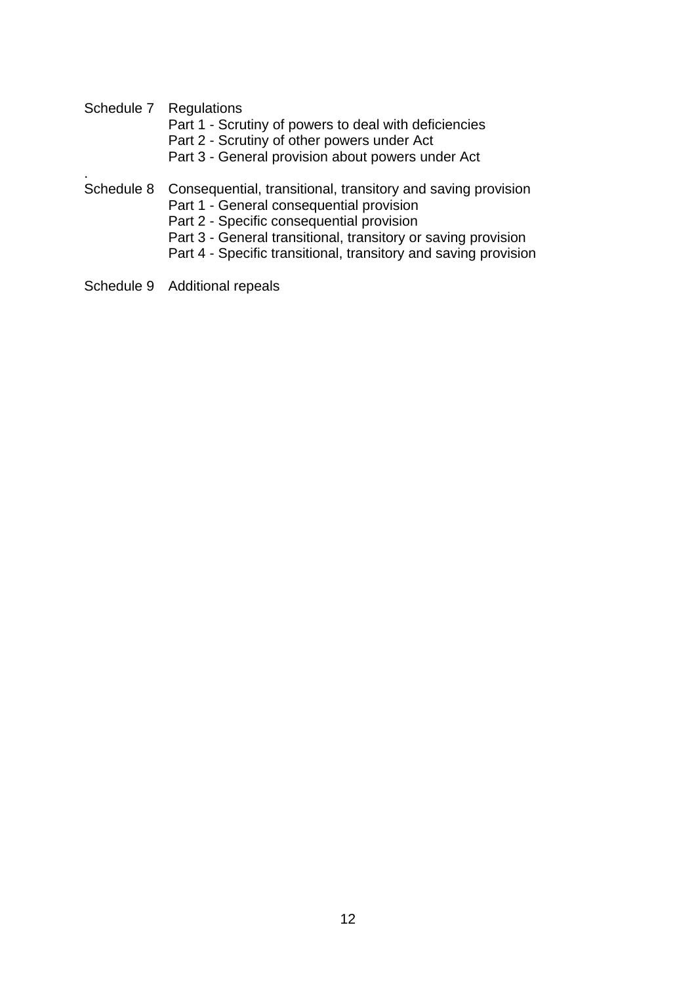Schedule 7 Regulations

.

- Part 1 Scrutiny of powers to deal with deficiencies
- Part 2 Scrutiny of other powers under Act
- Part 3 General provision about powers under Act
- Schedule 8 Consequential, transitional, transitory and saving provision
	- Part 1 General consequential provision
	- Part 2 Specific consequential provision
	- Part 3 General transitional, transitory or saving provision
	- Part 4 Specific transitional, transitory and saving provision
- Schedule 9 Additional repeals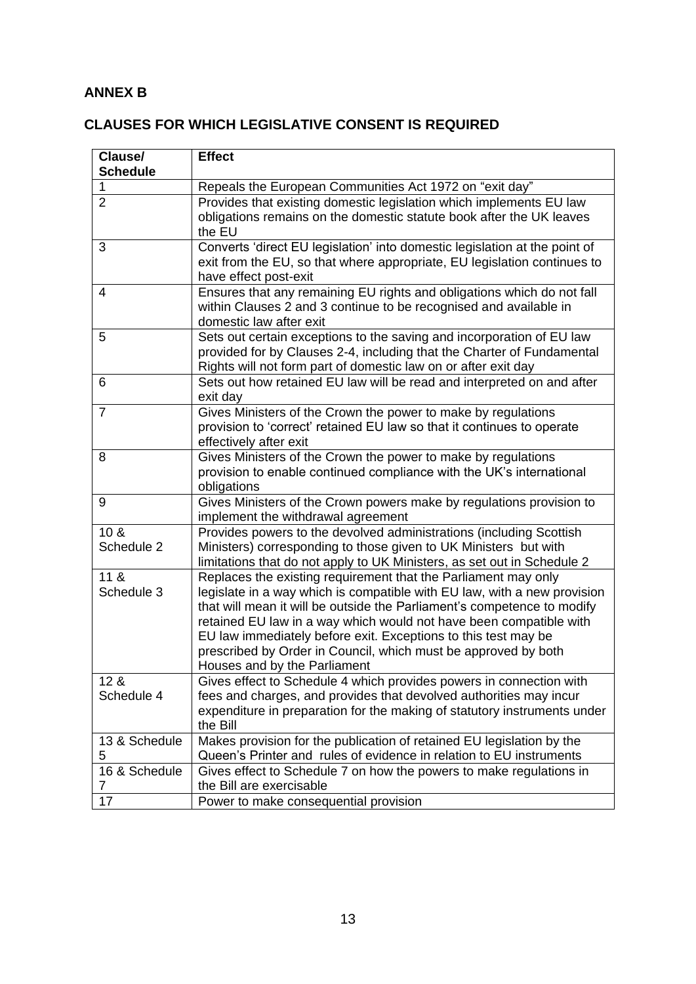# **ANNEX B**

# **CLAUSES FOR WHICH LEGISLATIVE CONSENT IS REQUIRED**

| Clause/<br><b>Schedule</b>    | <b>Effect</b>                                                                                                                                                                                                                                                                                                                                                                                                                                                   |
|-------------------------------|-----------------------------------------------------------------------------------------------------------------------------------------------------------------------------------------------------------------------------------------------------------------------------------------------------------------------------------------------------------------------------------------------------------------------------------------------------------------|
| 1                             | Repeals the European Communities Act 1972 on "exit day"                                                                                                                                                                                                                                                                                                                                                                                                         |
| $\overline{2}$                | Provides that existing domestic legislation which implements EU law<br>obligations remains on the domestic statute book after the UK leaves<br>the EU                                                                                                                                                                                                                                                                                                           |
| 3                             | Converts 'direct EU legislation' into domestic legislation at the point of<br>exit from the EU, so that where appropriate, EU legislation continues to<br>have effect post-exit                                                                                                                                                                                                                                                                                 |
| $\overline{4}$                | Ensures that any remaining EU rights and obligations which do not fall<br>within Clauses 2 and 3 continue to be recognised and available in<br>domestic law after exit                                                                                                                                                                                                                                                                                          |
| 5                             | Sets out certain exceptions to the saving and incorporation of EU law<br>provided for by Clauses 2-4, including that the Charter of Fundamental<br>Rights will not form part of domestic law on or after exit day                                                                                                                                                                                                                                               |
| 6                             | Sets out how retained EU law will be read and interpreted on and after<br>exit day                                                                                                                                                                                                                                                                                                                                                                              |
| $\overline{7}$                | Gives Ministers of the Crown the power to make by regulations<br>provision to 'correct' retained EU law so that it continues to operate<br>effectively after exit                                                                                                                                                                                                                                                                                               |
| 8                             | Gives Ministers of the Crown the power to make by regulations<br>provision to enable continued compliance with the UK's international<br>obligations                                                                                                                                                                                                                                                                                                            |
| 9                             | Gives Ministers of the Crown powers make by regulations provision to<br>implement the withdrawal agreement                                                                                                                                                                                                                                                                                                                                                      |
| 10 <sub>8</sub><br>Schedule 2 | Provides powers to the devolved administrations (including Scottish<br>Ministers) corresponding to those given to UK Ministers but with<br>limitations that do not apply to UK Ministers, as set out in Schedule 2                                                                                                                                                                                                                                              |
| 11 <sub>8</sub><br>Schedule 3 | Replaces the existing requirement that the Parliament may only<br>legislate in a way which is compatible with EU law, with a new provision<br>that will mean it will be outside the Parliament's competence to modify<br>retained EU law in a way which would not have been compatible with<br>EU law immediately before exit. Exceptions to this test may be<br>prescribed by Order in Council, which must be approved by both<br>Houses and by the Parliament |
| 12 <sub>8</sub><br>Schedule 4 | Gives effect to Schedule 4 which provides powers in connection with<br>fees and charges, and provides that devolved authorities may incur<br>expenditure in preparation for the making of statutory instruments under<br>the Bill                                                                                                                                                                                                                               |
| 13 & Schedule<br>5            | Makes provision for the publication of retained EU legislation by the<br>Queen's Printer and rules of evidence in relation to EU instruments                                                                                                                                                                                                                                                                                                                    |
| 16 & Schedule<br>7            | Gives effect to Schedule 7 on how the powers to make regulations in<br>the Bill are exercisable                                                                                                                                                                                                                                                                                                                                                                 |
| 17                            | Power to make consequential provision                                                                                                                                                                                                                                                                                                                                                                                                                           |